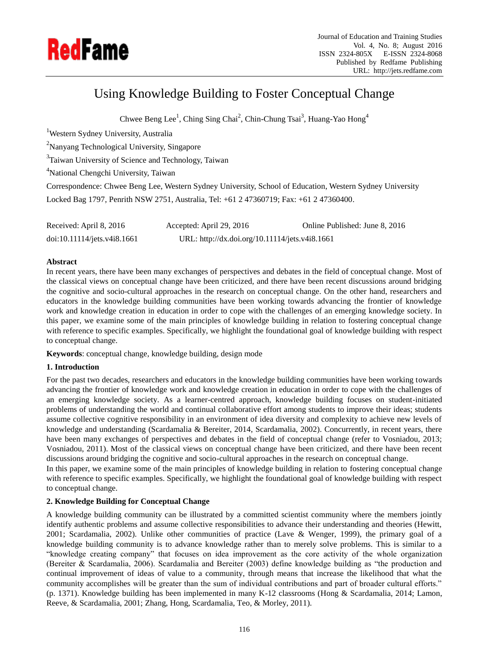

# Using Knowledge Building to Foster Conceptual Change

Chwee Beng Lee<sup>1</sup>, Ching Sing Chai<sup>2</sup>, Chin-Chung Tsai<sup>3</sup>, Huang-Yao Hong<sup>4</sup>

<sup>1</sup>Western Sydney University, Australia <sup>2</sup>Nanyang Technological University, Singapore <sup>3</sup>Taiwan University of Science and Technology, Taiwan <sup>4</sup>National Chengchi University, Taiwan Correspondence: Chwee Beng Lee, Western Sydney University, School of Education, Western Sydney University Locked Bag 1797, Penrith NSW 2751, Australia, Tel: +61 2 47360719; Fax: +61 2 47360400.

Received: April 8, 2016 Accepted: April 29, 2016 Online Published: June 8, 2016 doi:10.11114/jets.v4i8.1661 URL: http://dx.doi.org/10.11114/jets.v4i8.1661

# **Abstract**

In recent years, there have been many exchanges of perspectives and debates in the field of conceptual change. Most of the classical views on conceptual change have been criticized, and there have been recent discussions around bridging the cognitive and socio-cultural approaches in the research on conceptual change. On the other hand, researchers and educators in the knowledge building communities have been working towards advancing the frontier of knowledge work and knowledge creation in education in order to cope with the challenges of an emerging knowledge society. In this paper, we examine some of the main principles of knowledge building in relation to fostering conceptual change with reference to specific examples. Specifically, we highlight the foundational goal of knowledge building with respect to conceptual change.

**Keywords**: conceptual change, knowledge building, design mode

# **1. Introduction**

For the past two decades, researchers and educators in the knowledge building communities have been working towards advancing the frontier of knowledge work and knowledge creation in education in order to cope with the challenges of an emerging knowledge society. As a learner-centred approach, knowledge building focuses on student-initiated problems of understanding the world and continual collaborative effort among students to improve their ideas; students assume collective cognitive responsibility in an environment of idea diversity and complexity to achieve new levels of knowledge and understanding (Scardamalia & Bereiter, 2014, Scardamalia, 2002). Concurrently, in recent years, there have been many exchanges of perspectives and debates in the field of conceptual change (refer to Vosniadou, 2013; Vosniadou, 2011). Most of the classical views on conceptual change have been criticized, and there have been recent discussions around bridging the cognitive and socio-cultural approaches in the research on conceptual change.

In this paper, we examine some of the main principles of knowledge building in relation to fostering conceptual change with reference to specific examples. Specifically, we highlight the foundational goal of knowledge building with respect to conceptual change.

# **2. Knowledge Building for Conceptual Change**

A knowledge building community can be illustrated by a committed scientist community where the members jointly identify authentic problems and assume collective responsibilities to advance their understanding and theories (Hewitt, 2001; Scardamalia, 2002). Unlike other communities of practice (Lave & Wenger, 1999), the primary goal of a knowledge building community is to advance knowledge rather than to merely solve problems. This is similar to a "knowledge creating company" that focuses on idea improvement as the core activity of the whole organization (Bereiter & Scardamalia, 2006). Scardamalia and Bereiter (2003) define knowledge building as "the production and continual improvement of ideas of value to a community, through means that increase the likelihood that what the community accomplishes will be greater than the sum of individual contributions and part of broader cultural efforts." (p. 1371). Knowledge building has been implemented in many K-12 classrooms (Hong & Scardamalia, 2014; Lamon, Reeve, & Scardamalia, 2001; Zhang, Hong, Scardamalia, Teo, & Morley, 2011).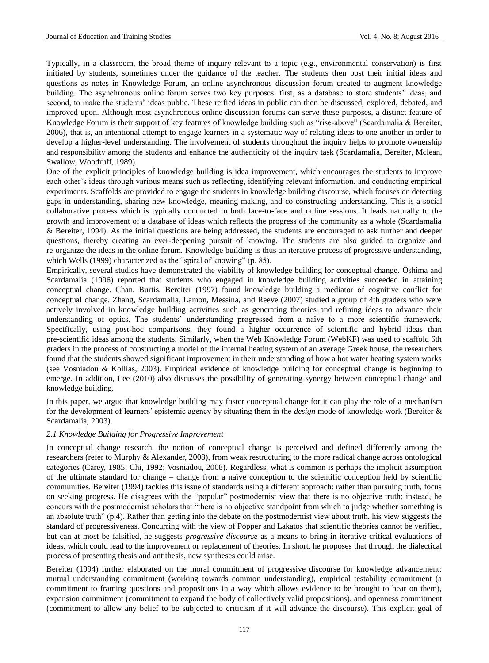Typically, in a classroom, the broad theme of inquiry relevant to a topic (e.g., environmental conservation) is first initiated by students, sometimes under the guidance of the teacher. The students then post their initial ideas and questions as notes in Knowledge Forum, an online asynchronous discussion forum created to augment knowledge building. The asynchronous online forum serves two key purposes: first, as a database to store students' ideas, and second, to make the students' ideas public. These reified ideas in public can then be discussed, explored, debated, and improved upon. Although most asynchronous online discussion forums can serve these purposes, a distinct feature of Knowledge Forum is their support of key features of knowledge building such as "rise-above" (Scardamalia & Bereiter, 2006), that is, an intentional attempt to engage learners in a systematic way of relating ideas to one another in order to develop a higher-level understanding. The involvement of students throughout the inquiry helps to promote ownership and responsibility among the students and enhance the authenticity of the inquiry task (Scardamalia, Bereiter, Mclean, Swallow, Woodruff, 1989).

One of the explicit principles of knowledge building is idea improvement, which encourages the students to improve each other's ideas through various means such as reflecting, identifying relevant information, and conducting empirical experiments. Scaffolds are provided to engage the students in knowledge building discourse, which focuses on detecting gaps in understanding, sharing new knowledge, meaning-making, and co-constructing understanding. This is a social collaborative process which is typically conducted in both face-to-face and online sessions. It leads naturally to the growth and improvement of a database of ideas which reflects the progress of the community as a whole (Scardamalia & Bereiter, 1994). As the initial questions are being addressed, the students are encouraged to ask further and deeper questions, thereby creating an ever-deepening pursuit of knowing. The students are also guided to organize and re-organize the ideas in the online forum. Knowledge building is thus an iterative process of progressive understanding, which Wells (1999) characterized as the "spiral of knowing" (p. 85).

Empirically, several studies have demonstrated the viability of knowledge building for conceptual change. Oshima and Scardamalia (1996) reported that students who engaged in knowledge building activities succeeded in attaining conceptual change. Chan, Burtis, Bereiter (1997) found knowledge building a mediator of cognitive conflict for conceptual change. Zhang, Scardamalia, Lamon, Messina, and Reeve (2007) studied a group of 4th graders who were actively involved in knowledge building activities such as generating theories and refining ideas to advance their understanding of optics. The students' understanding progressed from a naïve to a more scientific framework. Specifically, using post-hoc comparisons, they found a higher occurrence of scientific and hybrid ideas than pre-scientific ideas among the students. Similarly, when the Web Knowledge Forum (WebKF) was used to scaffold 6th graders in the process of constructing a model of the internal heating system of an average Greek house, the researchers found that the students showed significant improvement in their understanding of how a hot water heating system works (see Vosniadou & Kollias, 2003). Empirical evidence of knowledge building for conceptual change is beginning to emerge. In addition, Lee (2010) also discusses the possibility of generating synergy between conceptual change and knowledge building.

In this paper, we argue that knowledge building may foster conceptual change for it can play the role of a mechanism for the development of learners' epistemic agency by situating them in the *design* mode of knowledge work (Bereiter & Scardamalia, 2003).

# *2.1 Knowledge Building for Progressive Improvement*

In conceptual change research, the notion of conceptual change is perceived and defined differently among the researchers (refer to Murphy & Alexander, 2008), from weak restructuring to the more radical change across ontological categories (Carey, 1985; Chi, 1992; Vosniadou, 2008). Regardless, what is common is perhaps the implicit assumption of the ultimate standard for change – change from a naïve conception to the scientific conception held by scientific communities. Bereiter (1994) tackles this issue of standards using a different approach: rather than pursuing truth, focus on seeking progress. He disagrees with the "popular" postmodernist view that there is no objective truth; instead, he concurs with the postmodernist scholars that "there is no objective standpoint from which to judge whether something is an absolute truth" (p.4). Rather than getting into the debate on the postmodernist view about truth, his view suggests the standard of progressiveness. Concurring with the view of Popper and Lakatos that scientific theories cannot be verified, but can at most be falsified, he suggests *progressive discourse* as a means to bring in iterative critical evaluations of ideas, which could lead to the improvement or replacement of theories. In short, he proposes that through the dialectical process of presenting thesis and antithesis, new syntheses could arise.

Bereiter (1994) further elaborated on the moral commitment of progressive discourse for knowledge advancement: mutual understanding commitment (working towards common understanding), empirical testability commitment (a commitment to framing questions and propositions in a way which allows evidence to be brought to bear on them), expansion commitment (commitment to expand the body of collectively valid propositions), and openness commitment (commitment to allow any belief to be subjected to criticism if it will advance the discourse). This explicit goal of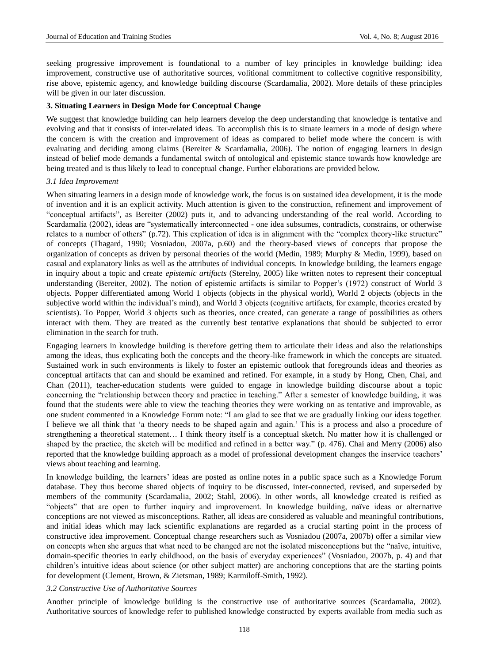seeking progressive improvement is foundational to a number of key principles in knowledge building: idea improvement, constructive use of authoritative sources, volitional commitment to collective cognitive responsibility, rise above, epistemic agency, and knowledge building discourse (Scardamalia, 2002). More details of these principles will be given in our later discussion.

## **3. Situating Learners in Design Mode for Conceptual Change**

We suggest that knowledge building can help learners develop the deep understanding that knowledge is tentative and evolving and that it consists of inter-related ideas. To accomplish this is to situate learners in a mode of design where the concern is with the creation and improvement of ideas as compared to belief mode where the concern is with evaluating and deciding among claims (Bereiter & Scardamalia, 2006). The notion of engaging learners in design instead of belief mode demands a fundamental switch of ontological and epistemic stance towards how knowledge are being treated and is thus likely to lead to conceptual change. Further elaborations are provided below.

## *3.1 Idea Improvement*

When situating learners in a design mode of knowledge work, the focus is on sustained idea development, it is the mode of invention and it is an explicit activity. Much attention is given to the construction, refinement and improvement of "conceptual artifacts", as Bereiter (2002) puts it, and to advancing understanding of the real world. According to Scardamalia (2002), ideas are "systematically interconnected - one idea subsumes, contradicts, constrains, or otherwise relates to a number of others" (p.72). This explication of idea is in alignment with the "complex theory-like structure" of concepts (Thagard, 1990; Vosniadou, 2007a, p.60) and the theory-based views of concepts that propose the organization of concepts as driven by personal theories of the world (Medin, 1989; Murphy & Medin, 1999), based on casual and explanatory links as well as the attributes of individual concepts. In knowledge building, the learners engage in inquiry about a topic and create *epistemic artifacts* (Sterelny, 2005) like written notes to represent their conceptual understanding (Bereiter, 2002). The notion of epistemic artifacts is similar to Popper's (1972) construct of World 3 objects. Popper differentiated among World 1 objects (objects in the physical world), World 2 objects (objects in the subjective world within the individual's mind), and World 3 objects (cognitive artifacts, for example, theories created by scientists). To Popper, World 3 objects such as theories, once created, can generate a range of possibilities as others interact with them. They are treated as the currently best tentative explanations that should be subjected to error elimination in the search for truth.

Engaging learners in knowledge building is therefore getting them to articulate their ideas and also the relationships among the ideas, thus explicating both the concepts and the theory-like framework in which the concepts are situated. Sustained work in such environments is likely to foster an epistemic outlook that foregrounds ideas and theories as conceptual artifacts that can and should be examined and refined. For example, in a study by Hong, Chen, Chai, and Chan (2011), teacher-education students were guided to engage in knowledge building discourse about a topic concerning the "relationship between theory and practice in teaching." After a semester of knowledge building, it was found that the students were able to view the teaching theories they were working on as tentative and improvable, as one student commented in a Knowledge Forum note: "I am glad to see that we are gradually linking our ideas together. I believe we all think that 'a theory needs to be shaped again and again.' This is a process and also a procedure of strengthening a theoretical statement… I think theory itself is a conceptual sketch. No matter how it is challenged or shaped by the practice, the sketch will be modified and refined in a better way." (p. 476). Chai and Merry (2006) also reported that the knowledge building approach as a model of professional development changes the inservice teachers' views about teaching and learning.

In knowledge building, the learners' ideas are posted as online notes in a public space such as a Knowledge Forum database. They thus become shared objects of inquiry to be discussed, inter-connected, revised, and superseded by members of the community (Scardamalia, 2002; Stahl, 2006). In other words, all knowledge created is reified as "objects" that are open to further inquiry and improvement. In knowledge building, naïve ideas or alternative conceptions are not viewed as misconceptions. Rather, all ideas are considered as valuable and meaningful contributions, and initial ideas which may lack scientific explanations are regarded as a crucial starting point in the process of constructive idea improvement. Conceptual change researchers such as Vosniadou (2007a, 2007b) offer a similar view on concepts when she argues that what need to be changed are not the isolated misconceptions but the "naïve, intuitive, domain-specific theories in early childhood, on the basis of everyday experiences" (Vosniadou, 2007b, p. 4) and that children's intuitive ideas about science (or other subject matter) are anchoring conceptions that are the starting points for development (Clement, Brown, & Zietsman, 1989; Karmiloff-Smith, 1992).

#### *3.2 Constructive Use of Authoritative Sources*

Another principle of knowledge building is the constructive use of authoritative sources (Scardamalia, 2002). Authoritative sources of knowledge refer to published knowledge constructed by experts available from media such as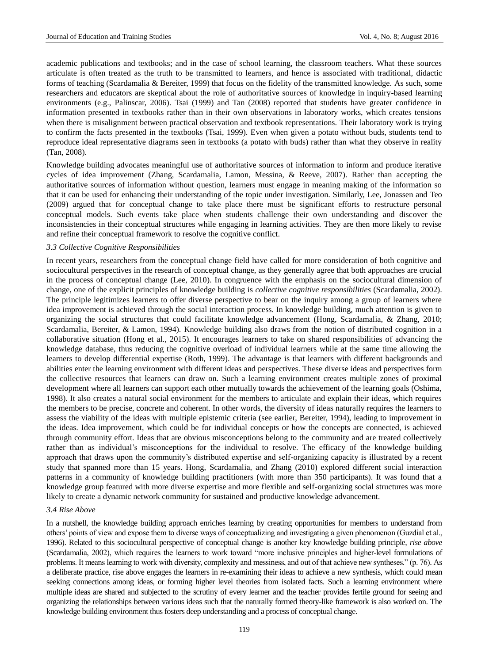academic publications and textbooks; and in the case of school learning, the classroom teachers. What these sources articulate is often treated as the truth to be transmitted to learners, and hence is associated with traditional, didactic forms of teaching (Scardamalia & Bereiter, 1999) that focus on the fidelity of the transmitted knowledge. As such, some researchers and educators are skeptical about the role of authoritative sources of knowledge in inquiry-based learning environments (e.g., Palinscar, 2006). Tsai (1999) and Tan (2008) reported that students have greater confidence in information presented in textbooks rather than in their own observations in laboratory works, which creates tensions when there is misalignment between practical observation and textbook representations. Their laboratory work is trying to confirm the facts presented in the textbooks (Tsai, 1999). Even when given a potato without buds, students tend to reproduce ideal representative diagrams seen in textbooks (a potato with buds) rather than what they observe in reality (Tan, 2008).

Knowledge building advocates meaningful use of authoritative sources of information to inform and produce iterative cycles of idea improvement (Zhang, Scardamalia, Lamon, Messina, & Reeve, 2007). Rather than accepting the authoritative sources of information without question, learners must engage in meaning making of the information so that it can be used for enhancing their understanding of the topic under investigation. Similarly, Lee, Jonassen and Teo (2009) argued that for conceptual change to take place there must be significant efforts to restructure personal conceptual models. Such events take place when students challenge their own understanding and discover the inconsistencies in their conceptual structures while engaging in learning activities. They are then more likely to revise and refine their conceptual framework to resolve the cognitive conflict.

#### *3.3 Collective Cognitive Responsibilities*

In recent years, researchers from the conceptual change field have called for more consideration of both cognitive and sociocultural perspectives in the research of conceptual change, as they generally agree that both approaches are crucial in the process of conceptual change (Lee, 2010). In congruence with the emphasis on the sociocultural dimension of change, one of the explicit principles of knowledge building is *collective cognitive responsibilities* (Scardamalia, 2002). The principle legitimizes learners to offer diverse perspective to bear on the inquiry among a group of learners where idea improvement is achieved through the social interaction process. In knowledge building, much attention is given to organizing the social structures that could facilitate knowledge advancement (Hong, Scardamalia, & Zhang, 2010; Scardamalia, Bereiter, & Lamon, 1994). Knowledge building also draws from the notion of distributed cognition in a collaborative situation (Hong et al., 2015). It encourages learners to take on shared responsibilities of advancing the knowledge database, thus reducing the cognitive overload of individual learners while at the same time allowing the learners to develop differential expertise (Roth, 1999). The advantage is that learners with different backgrounds and abilities enter the learning environment with different ideas and perspectives. These diverse ideas and perspectives form the collective resources that learners can draw on. Such a learning environment creates multiple zones of proximal development where all learners can support each other mutually towards the achievement of the learning goals (Oshima, 1998). It also creates a natural social environment for the members to articulate and explain their ideas, which requires the members to be precise, concrete and coherent. In other words, the diversity of ideas naturally requires the learners to assess the viability of the ideas with multiple epistemic criteria (see earlier, Bereiter, 1994), leading to improvement in the ideas. Idea improvement, which could be for individual concepts or how the concepts are connected, is achieved through community effort. Ideas that are obvious misconceptions belong to the community and are treated collectively rather than as individual's misconceptions for the individual to resolve. The efficacy of the knowledge building approach that draws upon the community's distributed expertise and self-organizing capacity is illustrated by a recent study that spanned more than 15 years. Hong, Scardamalia, and Zhang (2010) explored different social interaction patterns in a community of knowledge building practitioners (with more than 350 participants). It was found that a knowledge group featured with more diverse expertise and more flexible and self-organizing social structures was more likely to create a dynamic network community for sustained and productive knowledge advancement.

# *3.4 Rise Above*

In a nutshell, the knowledge building approach enriches learning by creating opportunities for members to understand from others' points of view and expose them to diverse ways of conceptualizing and investigating a given phenomenon (Guzdial et al., 1996). Related to this sociocultural perspective of conceptual change is another key knowledge building principle, *rise above* (Scardamalia, 2002), which requires the learners to work toward "more inclusive principles and higher-level formulations of problems. It means learning to work with diversity, complexity and messiness, and out of that achieve new syntheses." (p. 76). As a deliberate practice, rise above engages the learners in re-examining their ideas to achieve a new synthesis, which could mean seeking connections among ideas, or forming higher level theories from isolated facts. Such a learning environment where multiple ideas are shared and subjected to the scrutiny of every learner and the teacher provides fertile ground for seeing and organizing the relationships between various ideas such that the naturally formed theory-like framework is also worked on. The knowledge building environment thus fosters deep understanding and a process of conceptual change.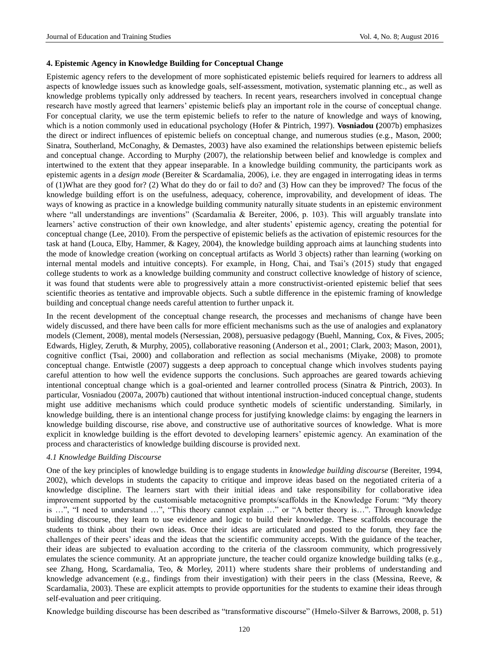# **4. Epistemic Agency in Knowledge Building for Conceptual Change**

Epistemic agency refers to the development of more sophisticated epistemic beliefs required for learners to address all aspects of knowledge issues such as knowledge goals, self-assessment, motivation, systematic planning etc., as well as knowledge problems typically only addressed by teachers. In recent years, researchers involved in conceptual change research have mostly agreed that learners' epistemic beliefs play an important role in the course of conceptual change. For conceptual clarity, we use the term epistemic beliefs to refer to the nature of knowledge and ways of knowing, which is a notion commonly used in educational psychology (Hofer & Pintrich, 1997). **Vosniadou (**2007b) emphasizes the direct or indirect influences of epistemic beliefs on conceptual change, and numerous studies (e.g., Mason, 2000; Sinatra, Southerland, McConaghy, & Demastes, 2003) have also examined the relationships between epistemic beliefs and conceptual change. According to Murphy (2007), the relationship between belief and knowledge is complex and intertwined to the extent that they appear inseparable. In a knowledge building community, the participants work as epistemic agents in a *design mode* (Bereiter & Scardamalia, 2006), i.e. they are engaged in interrogating ideas in terms of (1)What are they good for? (2) What do they do or fail to do? and (3) How can they be improved? The focus of the knowledge building effort is on the usefulness, adequacy, coherence, improvability, and development of ideas. The ways of knowing as practice in a knowledge building community naturally situate students in an epistemic environment where "all understandings are inventions" (Scardamalia & Bereiter, 2006, p. 103). This will arguably translate into learners' active construction of their own knowledge, and alter students' epistemic agency, creating the potential for conceptual change (Lee, 2010). From the perspective of epistemic beliefs as the activation of epistemic resources for the task at hand (Louca, Elby, Hammer, & Kagey, 2004), the knowledge building approach aims at launching students into the mode of knowledge creation (working on conceptual artifacts as World 3 objects) rather than learning (working on internal mental models and intuitive concepts). For example, in Hong, Chai, and Tsai's (2015) study that engaged college students to work as a knowledge building community and construct collective knowledge of history of science, it was found that students were able to progressively attain a more constructivist-oriented epistemic belief that sees scientific theories as tentative and improvable objects. Such a subtle difference in the epistemic framing of knowledge building and conceptual change needs careful attention to further unpack it.

In the recent development of the conceptual change research, the processes and mechanisms of change have been widely discussed, and there have been calls for more efficient mechanisms such as the use of analogies and explanatory models (Clement, 2008), mental models (Nersessian, 2008), persuasive pedagogy (Buehl, Manning, Cox, & Fives, 2005; Edwards, Higley, Zeruth, & Murphy, 2005), collaborative reasoning (Anderson et al., 2001; Clark, 2003; Mason, 2001), cognitive conflict (Tsai, 2000) and collaboration and reflection as social mechanisms (Miyake, 2008) to promote conceptual change. Entwistle (2007) suggests a deep approach to conceptual change which involves students paying careful attention to how well the evidence supports the conclusions. Such approaches are geared towards achieving intentional conceptual change which is a goal-oriented and learner controlled process (Sinatra & Pintrich, 2003). In particular, Vosniadou (2007a, 2007b) cautioned that without intentional instruction-induced conceptual change, students might use additive mechanisms which could produce synthetic models of scientific understanding. Similarly, in knowledge building, there is an intentional change process for justifying knowledge claims: by engaging the learners in knowledge building discourse, rise above, and constructive use of authoritative sources of knowledge. What is more explicit in knowledge building is the effort devoted to developing learners' epistemic agency. An examination of the process and characteristics of knowledge building discourse is provided next.

## *4.1 Knowledge Building Discourse*

One of the key principles of knowledge building is to engage students in *knowledge building discourse* (Bereiter, 1994, 2002), which develops in students the capacity to critique and improve ideas based on the negotiated criteria of a knowledge discipline. The learners start with their initial ideas and take responsibility for collaborative idea improvement supported by the customisable metacognitive prompts/scaffolds in the Knowledge Forum: "My theory is …", "I need to understand …", "This theory cannot explain …" or "A better theory is…". Through knowledge building discourse, they learn to use evidence and logic to build their knowledge. These scaffolds encourage the students to think about their own ideas. Once their ideas are articulated and posted to the forum, they face the challenges of their peers' ideas and the ideas that the scientific community accepts. With the guidance of the teacher, their ideas are subjected to evaluation according to the criteria of the classroom community, which progressively emulates the science community. At an appropriate juncture, the teacher could organize knowledge building talks (e.g., see Zhang, Hong, Scardamalia, Teo, & Morley, 2011) where students share their problems of understanding and knowledge advancement (e.g., findings from their investigation) with their peers in the class (Messina, Reeve, & Scardamalia, 2003). These are explicit attempts to provide opportunities for the students to examine their ideas through self-evaluation and peer critiquing.

Knowledge building discourse has been described as "transformative discourse" (Hmelo-Silver & Barrows, 2008, p. 51)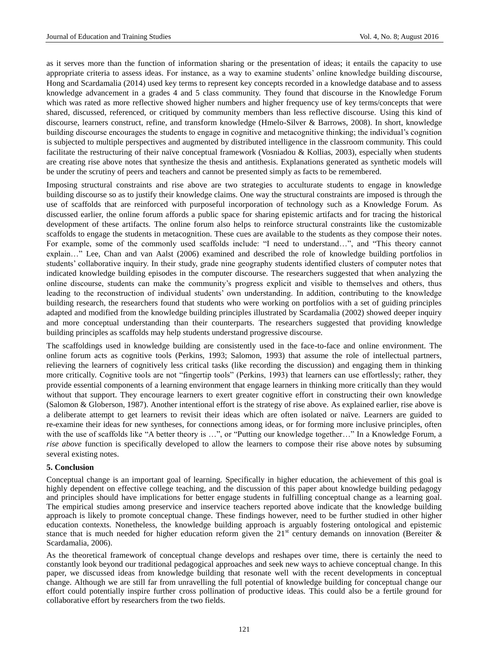as it serves more than the function of information sharing or the presentation of ideas; it entails the capacity to use appropriate criteria to assess ideas. For instance, as a way to examine students' online knowledge building discourse, Hong and Scardamalia (2014) used key terms to represent key concepts recorded in a knowledge database and to assess knowledge advancement in a grades 4 and 5 class community. They found that discourse in the Knowledge Forum which was rated as more reflective showed higher numbers and higher frequency use of key terms/concepts that were shared, discussed, referenced, or critiqued by community members than less reflective discourse. Using this kind of discourse, learners construct, refine, and transform knowledge (Hmelo-Silver & Barrows, 2008). In short, knowledge building discourse encourages the students to engage in cognitive and metacognitive thinking; the individual's cognition is subjected to multiple perspectives and augmented by distributed intelligence in the classroom community. This could facilitate the restructuring of their na we conceptual framework (Vosniadou & Kollias, 2003), especially when students are creating rise above notes that synthesize the thesis and antithesis. Explanations generated as synthetic models will be under the scrutiny of peers and teachers and cannot be presented simply as facts to be remembered.

Imposing structural constraints and rise above are two strategies to acculturate students to engage in knowledge building discourse so as to justify their knowledge claims. One way the structural constraints are imposed is through the use of scaffolds that are reinforced with purposeful incorporation of technology such as a Knowledge Forum. As discussed earlier, the online forum affords a public space for sharing epistemic artifacts and for tracing the historical development of these artifacts. The online forum also helps to reinforce structural constraints like the customizable scaffolds to engage the students in metacognition. These cues are available to the students as they compose their notes. For example, some of the commonly used scaffolds include: "I need to understand…", and "This theory cannot explain…" Lee, Chan and van Aalst (2006) examined and described the role of knowledge building portfolios in students' collaborative inquiry. In their study, grade nine geography students identified clusters of computer notes that indicated knowledge building episodes in the computer discourse. The researchers suggested that when analyzing the online discourse, students can make the community's progress explicit and visible to themselves and others, thus leading to the reconstruction of individual students' own understanding. In addition, contributing to the knowledge building research, the researchers found that students who were working on portfolios with a set of guiding principles adapted and modified from the knowledge building principles illustrated by Scardamalia (2002) showed deeper inquiry and more conceptual understanding than their counterparts. The researchers suggested that providing knowledge building principles as scaffolds may help students understand progressive discourse.

The scaffoldings used in knowledge building are consistently used in the face-to-face and online environment. The online forum acts as cognitive tools (Perkins, 1993; Salomon, 1993) that assume the role of intellectual partners, relieving the learners of cognitively less critical tasks (like recording the discussion) and engaging them in thinking more critically. Cognitive tools are not "fingertip tools" (Perkins, 1993) that learners can use effortlessly; rather, they provide essential components of a learning environment that engage learners in thinking more critically than they would without that support. They encourage learners to exert greater cognitive effort in constructing their own knowledge (Salomon & Globerson, 1987). Another intentional effort is the strategy of rise above. As explained earlier, rise above is a deliberate attempt to get learners to revisit their ideas which are often isolated or naïve. Learners are guided to re-examine their ideas for new syntheses, for connections among ideas, or for forming more inclusive principles, often with the use of scaffolds like "A better theory is ...", or "Putting our knowledge together..." In a Knowledge Forum, a *rise above* function is specifically developed to allow the learners to compose their rise above notes by subsuming several existing notes.

# **5. Conclusion**

Conceptual change is an important goal of learning. Specifically in higher education, the achievement of this goal is highly dependent on effective college teaching, and the discussion of this paper about knowledge building pedagogy and principles should have implications for better engage students in fulfilling conceptual change as a learning goal. The empirical studies among preservice and inservice teachers reported above indicate that the knowledge building approach is likely to promote conceptual change. These findings however, need to be further studied in other higher education contexts. Nonetheless, the knowledge building approach is arguably fostering ontological and epistemic stance that is much needed for higher education reform given the  $21<sup>st</sup>$  century demands on innovation (Bereiter & Scardamalia, 2006).

As the theoretical framework of conceptual change develops and reshapes over time, there is certainly the need to constantly look beyond our traditional pedagogical approaches and seek new ways to achieve conceptual change. In this paper, we discussed ideas from knowledge building that resonate well with the recent developments in conceptual change. Although we are still far from unravelling the full potential of knowledge building for conceptual change our effort could potentially inspire further cross pollination of productive ideas. This could also be a fertile ground for collaborative effort by researchers from the two fields.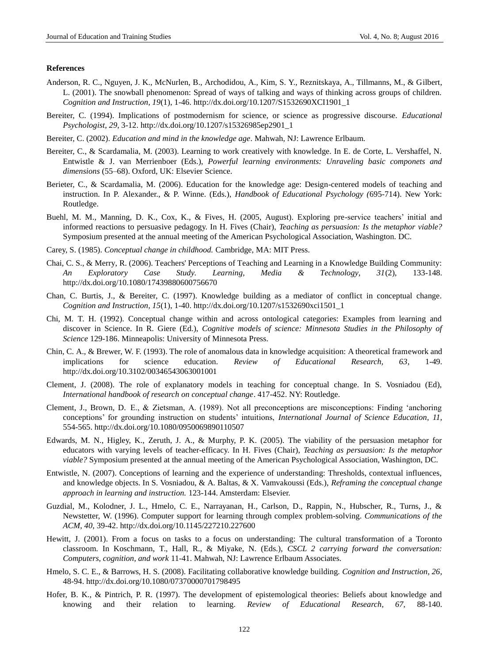#### **References**

- Anderson, R. C., Nguyen, J. K., McNurlen, B., Archodidou, A., Kim, S. Y., Reznitskaya, A., Tillmanns, M., & Gilbert, L. (2001). The snowball phenomenon: Spread of ways of talking and ways of thinking across groups of children. *Cognition and Instruction, 19*(1), 1-46[. http://dx.doi.org/10.1207/S1532690XCI1901\\_1](http://dx.doi.org/10.1207/S1532690XCI1901_1)
- Bereiter, C. (1994). Implications of postmodernism for science, or science as progressive discourse. *Educational Psychologist*, *29*, 3-12. [http://dx.doi.org/10.1207/s15326985ep2901\\_1](http://dx.doi.org/10.1207/s15326985ep2901_1)
- Bereiter, C. (2002). *Education and mind in the knowledge age*. Mahwah, NJ: Lawrence Erlbaum.
- Bereiter, C., & Scardamalia, M. (2003). Learning to work creatively with knowledge. In E. de Corte, L. Vershaffel, N. Entwistle & J. van Merrienboer (Eds.), *Powerful learning environments: Unraveling basic componets and dimensions* (55–68). Oxford, UK: Elsevier Science.
- Berieter, C., & Scardamalia, M. (2006). Education for the knowledge age: Design-centered models of teaching and instruction. In P. Alexander., & P. Winne. (Eds.), *Handbook of Educational Psychology (*695-714). New York: Routledge.
- Buehl, M. M., Manning, D. K., Cox, K., & Fives, H. (2005, August). Exploring pre-service teachers' initial and informed reactions to persuasive pedagogy. In H. Fives (Chair), *Teaching as persuasion: Is the metaphor viable?*  Symposium presented at the annual meeting of the American Psychological Association, Washington. DC.
- Carey, S. (1985). *Conceptual change in childhood.* Cambridge, MA: MIT Press.
- Chai, C. S., & Merry, R. (2006). Teachers' Perceptions of Teaching and Learning in a Knowledge Building Community: *An Exploratory Case Study. Learning, Media & Technology, 31*(2), 133-148. <http://dx.doi.org/10.1080/17439880600756670>
- Chan, C. Burtis, J., & Bereiter, C. (1997). Knowledge building as a mediator of conflict in conceptual change. *Cognition and Instruction, 15*(1), 1-40. [http://dx.doi.org/10.1207/s1532690xci1501\\_1](http://dx.doi.org/10.1207/s1532690xci1501_1)
- Chi, M. T. H. (1992). Conceptual change within and across ontological categories: Examples from learning and discover in Science. In R. Giere (Ed.), *Cognitive models of science: Minnesota Studies in the Philosophy of Science* 129-186. Minneapolis: University of Minnesota Press.
- Chin, C. A., & Brewer, W. F. (1993). The role of anomalous data in knowledge acquisition: A theoretical framework and implications for science education. *Review of Educational Research, 63*, 1-49. <http://dx.doi.org/10.3102/00346543063001001>
- Clement, J. (2008). The role of explanatory models in teaching for conceptual change. In S. Vosniadou (Ed), *International handbook of research on conceptual change*. 417-452. NY: Routledge.
- Clement, J., Brown, D. E., & Zietsman, A. (1989). Not all preconceptions are misconceptions: Finding 'anchoring conceptions' for grounding instruction on students' intuitions, *International Journal of Science Education*, *11*, 554-565. <http://dx.doi.org/10.1080/0950069890110507>
- Edwards, M. N., Higley, K., Zeruth, J. A., & Murphy, P. K. (2005). The viability of the persuasion metaphor for educators with varying levels of teacher-efficacy. In H. Fives (Chair), *Teaching as persuasion: Is the metaphor viable?* Symposium presented at the annual meeting of the American Psychological Association, Washington, DC.
- Entwistle, N. (2007). Conceptions of learning and the experience of understanding: Thresholds, contextual influences, and knowledge objects. In S. Vosniadou, & A. Baltas, & X. Vamvakoussi (Eds.), *Reframing the conceptual change approach in learning and instruction.* 123-144. Amsterdam: Elsevier.
- Guzdial, M., Kolodner, J. L., Hmelo, C. E., Narrayanan, H., Carlson, D., Rappin, N., Hubscher, R., Turns, J., & Newstetter, W. (1996). Computer support for learning through complex problem-solving. *Communications of the ACM*, *40*, 39-42. <http://dx.doi.org/10.1145/227210.227600>
- Hewitt, J. (2001). From a focus on tasks to a focus on understanding: The cultural transformation of a Toronto classroom. In Koschmann, T., Hall, R., & Miyake, N. (Eds.), *CSCL 2 carrying forward the conversation: Computers, cognition, and work* 11-41. Mahwah, NJ: Lawrence Erlbaum Associates.
- Hmelo, S. C. E., & Barrows, H. S. (2008). Facilitating collaborative knowledge building. *Cognition and Instruction, 26*, 48-94.<http://dx.doi.org/10.1080/07370000701798495>
- Hofer, B. K., & Pintrich, P. R. (1997). The development of epistemological theories: Beliefs about knowledge and knowing and their relation to learning. *Review of Educational Research, 67,* 88-140.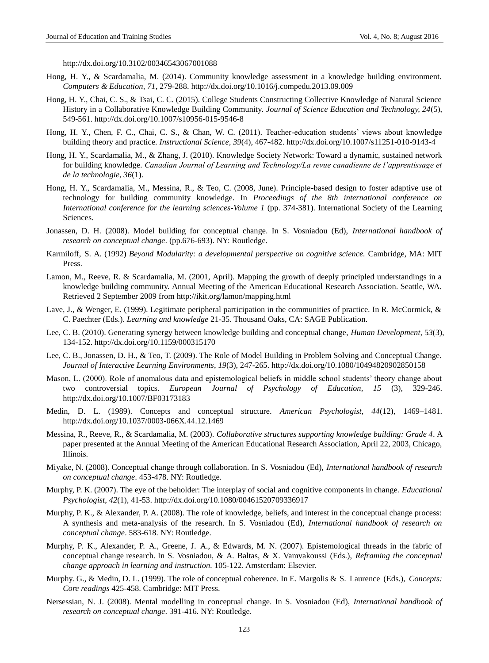<http://dx.doi.org/10.3102/00346543067001088>

- Hong, H. Y., & Scardamalia, M. (2014). Community knowledge assessment in a knowledge building environment. *Computers & Education, 71*, 279-288. <http://dx.doi.org/10.1016/j.compedu.2013.09.009>
- Hong, H. Y., Chai, C. S., & Tsai, C. C. (2015). College Students Constructing Collective Knowledge of Natural Science History in a Collaborative Knowledge Building Community. *Journal of Science Education and Technology, 24*(5), 549-561. <http://dx.doi.org/10.1007/s10956-015-9546-8>
- Hong, H. Y., Chen, F. C., Chai, C. S., & Chan, W. C. (2011). Teacher-education students' views about knowledge building theory and practice. *Instructional Science, 39*(4), 467-482. <http://dx.doi.org/10.1007/s11251-010-9143-4>
- Hong, H. Y., Scardamalia, M., & Zhang, J. (2010). Knowledge Society Network: Toward a dynamic, sustained network for building knowledge. *Canadian Journal of Learning and Technology/La revue canadienne de l'apprentissage et de la technologie, 36*(1).
- Hong, H. Y., Scardamalia, M., Messina, R., & Teo, C. (2008, June). Principle-based design to foster adaptive use of technology for building community knowledge. In *Proceedings of the 8th international conference on International conference for the learning sciences-Volume 1* (pp. 374-381). International Society of the Learning Sciences.
- Jonassen, D. H. (2008). Model building for conceptual change. In S. Vosniadou (Ed), *International handbook of research on conceptual change*. (pp.676-693). NY: Routledge.
- Karmiloff, S. A. (1992) *Beyond Modularity: a developmental perspective on cognitive science.* Cambridge, MA: MIT Press.
- Lamon, M., Reeve, R. & Scardamalia, M. (2001, April). Mapping the growth of deeply principled understandings in a knowledge building community. Annual Meeting of the American Educational Research Association. Seattle, WA. Retrieved 2 September 2009 from<http://ikit.org/lamon/mapping.html>
- Lave, J., & Wenger, E. (1999). Legitimate peripheral participation in the communities of practice. In R. McCormick, & C. Paechter (Eds.). *Learning and knowledge* 21-35. Thousand Oaks, CA: SAGE Publication.
- Lee, C. B. (2010). Generating synergy between knowledge building and conceptual change, *Human Development,* 5*3*(3), 134-152. <http://dx.doi.org/10.1159/000315170>
- Lee, C. B., Jonassen, D. H., & Teo, T. (2009). The Role of Model Building in Problem Solving and Conceptual Change. *Journal of Interactive Learning Environments*, *19*(3), 247-265. <http://dx.doi.org/10.1080/10494820902850158>
- Mason, L. (2000). Role of anomalous data and epistemological beliefs in middle school students' theory change about two controversial topics. *European Journal of Psychology of Education, 15* (3), 329-246. <http://dx.doi.org/10.1007/BF03173183>
- Medin, D. L. (1989). Concepts and conceptual structure. *American Psychologist, 44*(12), 1469–1481. <http://dx.doi.org/10.1037/0003-066X.44.12.1469>
- Messina, R., Reeve, R., & Scardamalia, M. (2003). *Collaborative structures supporting knowledge building: Grade 4*. A paper presented at the Annual Meeting of the American Educational Research Association, April 22, 2003, Chicago, Illinois.
- Miyake, N. (2008). Conceptual change through collaboration. In S. Vosniadou (Ed), *International handbook of research on conceptual change*. 453-478. NY: Routledge.
- Murphy, P. K. (2007). The eye of the beholder: The interplay of social and cognitive components in change. *Educational Psychologist*, *42*(1), 41-53.<http://dx.doi.org/10.1080/00461520709336917>
- Murphy, P. K., & Alexander, P. A. (2008). The role of knowledge, beliefs, and interest in the conceptual change process: A synthesis and meta-analysis of the research. In S. Vosniadou (Ed), *International handbook of research on conceptual change*. 583-618. NY: Routledge.
- Murphy, P. K., Alexander, P. A., Greene, J. A., & Edwards, M. N. (2007). Epistemological threads in the fabric of conceptual change research. In S. Vosniadou, & A. Baltas, & X. Vamvakoussi (Eds.), *Reframing the conceptual change approach in learning and instruction.* 105-122. Amsterdam: Elsevier.
- Murphy. G., & Medin, D. L. (1999). The role of conceptual coherence. In E. Margolis & S. Laurence (Eds.), *Concepts: Core readings* 425-458. Cambridge: MIT Press.
- Nersessian, N. J. (2008). Mental modelling in conceptual change. In S. Vosniadou (Ed), *International handbook of research on conceptual change*. 391-416. NY: Routledge.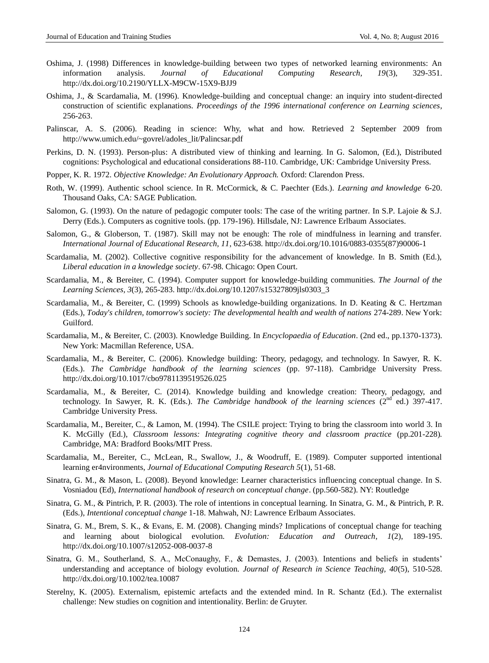- Oshima, J. (1998) Differences in knowledge-building between two types of networked learning environments: An information analysis. *Journal of Educational Computing Research, 19*(3), 329-351. <http://dx.doi.org/10.2190/YLLX-M9CW-15X9-BJJ9>
- Oshima, J., & Scardamalia, M. (1996). Knowledge-building and conceptual change: an inquiry into student-directed construction of scientific explanations. *Proceedings of the 1996 international conference on Learning sciences*, 256-263.
- Palinscar, A. S. (2006). Reading in science: Why, what and how. Retrieved 2 September 2009 from http://www.umich.edu/~govrel/adoles\_lit/Palincsar.pdf
- Perkins, D. N. (1993). Person-plus: A distributed view of thinking and learning. In G. Salomon, (Ed.), Distributed cognitions: Psychological and educational considerations 88-110. Cambridge, UK: Cambridge University Press.
- [Popper, K. R.](http://www.kli.ac.at/theorylab/AuthPage/P/PopperKR.html) 1972. *Objective Knowledge: An Evolutionary Approach.* Oxford: Clarendon Press.
- Roth, W. (1999). Authentic school science. In R. McCormick, & C. Paechter (Eds.). *Learning and knowledge* 6-20. Thousand Oaks, CA: SAGE Publication.
- Salomon, G. (1993). On the nature of pedagogic computer tools: The case of the writing partner. In S.P. Lajoie & S.J. Derry (Eds.). Computers as cognitive tools. (pp. 179-196). Hillsdale, NJ: Lawrence Erlbaum Associates.
- Salomon, G., & Globerson, T. (1987). Skill may not be enough: The role of mindfulness in learning and transfer. *International Journal of Educational Research, 11*, 623-638. [http://dx.doi.org/10.1016/0883-0355\(87\)90006-1](http://dx.doi.org/10.1016/0883-0355%2887%2990006-1)
- Scardamalia, M. (2002). Collective cognitive responsibility for the advancement of knowledge. In B. Smith (Ed.), *Liberal education in a knowledge society*. 67-98. Chicago: Open Court.
- Scardamalia, M., & Bereiter, C. (1994). Computer support for knowledge-building communities. *The Journal of the Learning Sciences, 3*(3), 265-283. [http://dx.doi.org/10.1207/s15327809jls0303\\_3](http://dx.doi.org/10.1207/s15327809jls0303_3)
- Scardamalia, M., & Bereiter, C. (1999) Schools as knowledge-building organizations. In D. Keating & C. Hertzman (Eds.), *Today's children, tomorrow's society: The developmental health and wealth of nations* 274-289. New York: Guilford.
- Scardamalia, M., & Bereiter, C. (2003). Knowledge Building. In *Encyclopaedia of Education*. (2nd ed., pp.1370-1373). New York: Macmillan Reference, USA.
- Scardamalia, M., & Bereiter, C. (2006). Knowledge building: Theory, pedagogy, and technology. In Sawyer, R. K. (Eds.). *The Cambridge handbook of the learning sciences* (pp. 97-118). Cambridge University Press. <http://dx.doi.org/10.1017/cbo9781139519526.025>
- Scardamalia, M., & Bereiter, C. (2014). Knowledge building and knowledge creation: Theory, pedagogy, and technology. In Sawyer, R. K. (Eds.). *The Cambridge handbook of the learning sciences* (2<sup>nd</sup> ed.) 397-417. Cambridge University Press.
- Scardamalia, M., Bereiter, C., & Lamon, M. (1994). The CSILE project: Trying to bring the classroom into world 3. In K. McGilly (Ed.), *Classroom lessons: Integrating cognitive theory and classroom practice* (pp.201-228)*.*  Cambridge, MA: Bradford Books/MIT Press.
- Scardamalia, M., Bereiter, C., McLean, R., Swallow, J., & Woodruff, E. (1989). Computer supported intentional learning er4nvironments, *Journal of Educational Computing Research 5*(1), 51-68.
- Sinatra, G. M., & Mason, L. (2008). Beyond knowledge: Learner characteristics influencing conceptual change. In S. Vosniadou (Ed), *International handbook of research on conceptual change*. (pp.560-582). NY: Routledge
- Sinatra, G. M., & Pintrich, P. R. (2003). The role of intentions in conceptual learning. In Sinatra, G. M., & Pintrich, P. R. (Eds.), *Intentional conceptual change* 1-18. Mahwah, NJ: Lawrence Erlbaum Associates.
- Sinatra, G. M., Brem, S. K., & Evans, E. M. (2008). Changing minds? Implications of conceptual change for teaching and learning about biological evolution. *Evolution: Education and Outreach*, *1*(2), 189-195. <http://dx.doi.org/10.1007/s12052-008-0037-8>
- Sinatra, G. M., Southerland, S. A., McConaughy, F., & Demastes, J. (2003). Intentions and beliefs in students' understanding and acceptance of biology evolution. *Journal of Research in Science Teaching, 40*(5), 510-528. <http://dx.doi.org/10.1002/tea.10087>
- Sterelny, K. (2005). Externalism, epistemic artefacts and the extended mind. In R. Schantz (Ed.). The externalist challenge: New studies on cognition and intentionality. Berlin: de Gruyter.